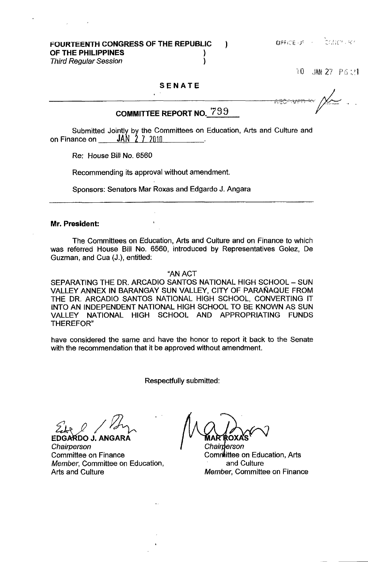10 JAN 27 P 6:21

### SENATE

# COMMITTEE REPORT NO.  $799$

Submitted Jointly. by the Committees on Education, Arts and Culture and on Finance on JAN 2 7 2010 .

Re: House Bill No. 6560

Recommending its approval without amendment.

Sponsors: Senators Mar Roxas and Edgardo J. Angara

#### Mr. President:

The Committees on Education, Arts and Culture and on Finance to which was referred House Bill No. 6560, introduced by Representatives Golez, De Guzman, and Cua (J.), entitled:

"AN ACT

SEPARATING THE DR. ARCADIO SANTOS NATIONAL HIGH SCHOOL - SUN VALLEY ANNEX IN BARANGAY SUN VALLEY, CITY OF PARAÑAQUE FROM THE DR. ARCADIO SANTOS NATIONAL HIGH SCHOOL, CONVERTING IT INTO AN INDEPENDENT NATIONAL HIGH SCHOOL TO BE KNOWN AS SUN VALLEY NATIONAL HIGH SCHOOL AND APPROPRIATING FUNDS THEREFOR"

have considered the same and have the honor to report it back to the Senate with the recommendation that it be approved without amendment.

Respectfully submitted:

EDGARDO J. ANGARA

**Chairperson** Committee on Finance Member, Committee on Education, Arts and Culture

Chairnerson Committee on Education, Arts and Culture Member, Committee on Finance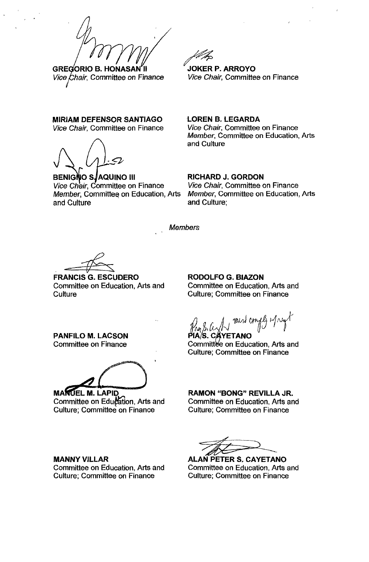**GREGORIO B. HONASAN** Vice Chair, Committee on Finance

#### **MIRIAM DEFENSOR SANTIAGO**

Vice Chair, Committee on Finance

 $\sqrt{2}$ ,  $\sqrt{2}$ 

BENIGNO S/AQUINO III Vice Chair, Committee on Finance Member, Committee on Education, Arts and Culture

~ **JOKER P. ARROYO**  Vice Chair, Committee on Finance

**LOREN B. LEGARDA**  Vice Chair, Committee on Finance Member, Committee on Education, Arts and Culture

**RICHARD J. GORDON**  Vice Chair, Committee on Finance Member, Committee on Education, Arts and Culture;

**Members** 

**FRANCIS G. ESCUDERO** Committee on Education, Arts and **Culture** 

**RODOLFO G. BlAZON**  Committee on Education, Arts and Culture; Committee on Finance

**PANFILO M. LACSON**  Committee on Finance

4.00 april 2010

**MANUEL M. LAPID** Committee on Education, Arts and Culture; Committee on Finance

**MANNY VILLAR** 

Committee on Education, Arts and Culture; Committee on Finance

 $p_{\text{max}} \sim \text{M}$  mas craps  $m_{\text{max}}$ .

IA/S. C⁄AYETANO Committee on Education, Arts and Culture; Committee on Finance

**RAMON** "BONG" **REVILLA** JR. Committee on Education, Arts and Culture; Committee on Finance

**ALAN PETER S. CAYETANO** Committee on Education, Arts and Culture; Committee on Finance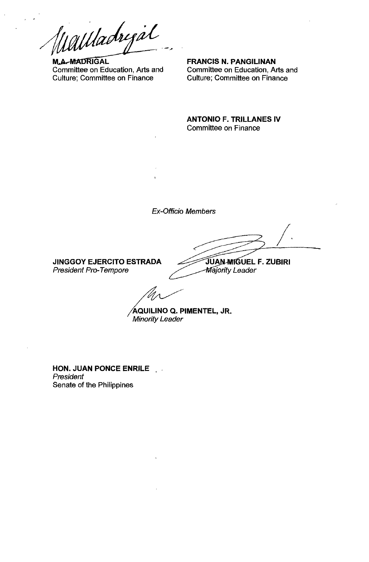Wallachigal

Committee on Education, Arts and Culture; Committee on Finance

**FRANCIS N. PANGILINAN**  Committee on Education, Arts and Culture; Committee on Finance

**ANTONIO F. TRILLANES IV**  Committee on Finance

Ex-Officio Members

**JINGGOY EJERCITO ESTRADA**  President Pro-Tempore

**,po-ftJlluUEL F. ZUBIRI Majority Leader** 

 $\Bigg)$ .

~QUILINO **Q. PIMENTEL, JR.**  Minority Leader

**HON. JUAN PONCE ENRILE**  President Senate of the Philippines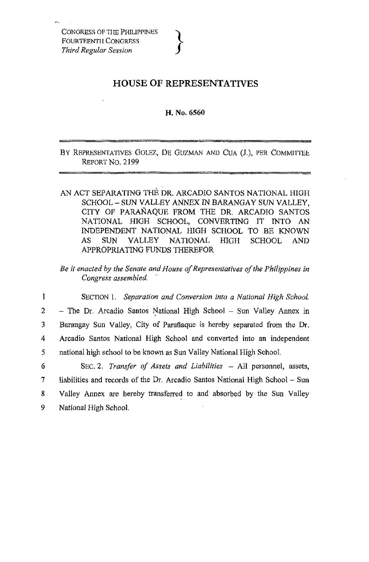# **HOUSE OF REPRESENTATIVES**

## H. No. 6560

BY REPRESENTATIVES GOLEZ, DE GUZMAN AND CUA (J.), PER COMMITTEE REPORT No. 2199

AN ACT SEPARATING THE DR. ARCADIO SANTOS NATIONAL HIGH SCHOOL - SUN VALLEY ANNEX IN BARANGAY SUN VALLEY, CITY OF PARANAQUE FROM THE DR. ARCADIO SANTOS NATIONAL HIGH SCHOOL, CONVERTING IT INTO AN INDEPENDENT NATIONAL HIGH SCHOOL TO BE KNOWN AS SUN VALLEY NATIONAL HIGH SCHOOL AND APPROPRIATING FUNDS THEREFOR

*Be it enacted by the Senate and House of Representatives of the Philippines in Congress assembled.* '.

1 SECTION 1. *Separation and Conversion into a National High School.*  2 - The Dr. Arcadio Santos National High School - Sun Valley Annex in 3 Barangay Sun Valley, City of Paraftaque is hereby separated from the Dr. 4 Arcadia Santos National High School and converted into an independent 5 national high school to be known as Sun Valley National High School.

6 SEC. 2. *Transfer of Assets and Liabilities* - All personnel, assets, 7 liabilities and records of the Dr. Arcadia Santos National High School - Sun 8 Valley Annex are hereby transferred to and absorbed by the Sun Valley 9 National High School.